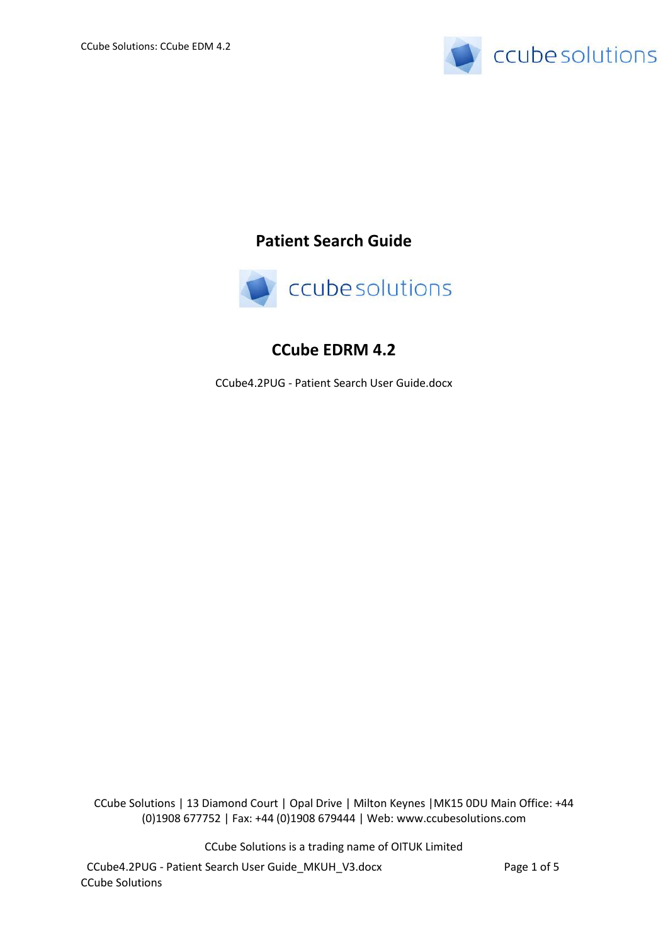

# **Patient Search Guide**



# **CCube EDRM 4.2**

CCube4.2PUG - Patient Search User Guide.docx

CCube Solutions | 13 Diamond Court | Opal Drive | Milton Keynes |MK15 0DU Main Office: +44 (0)1908 677752 | Fax: +44 (0)1908 679444 | Web: www.ccubesolutions.com

CCube Solutions is a trading name of OITUK Limited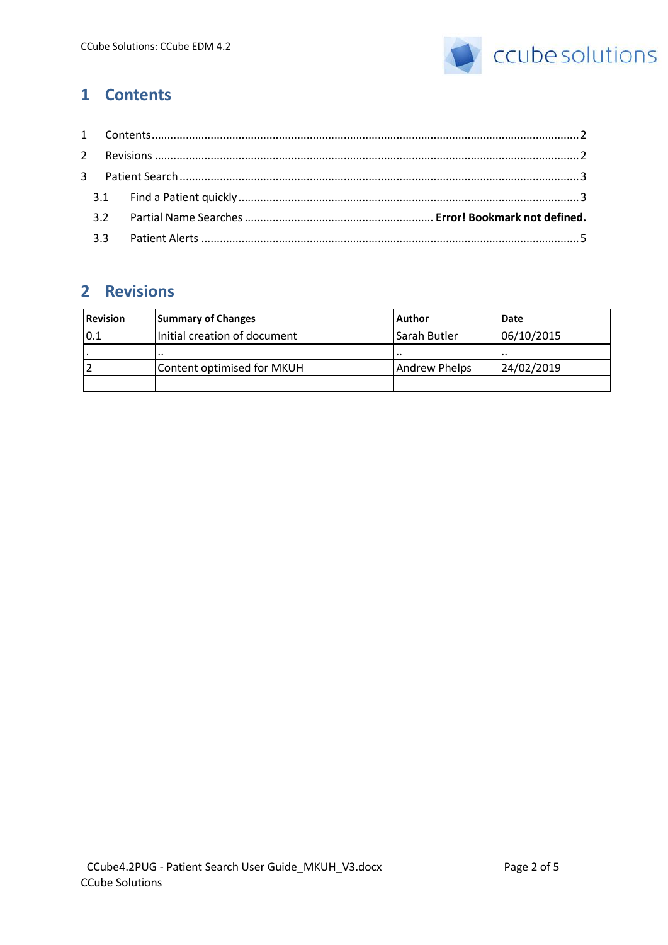

# <span id="page-1-0"></span>**1 Contents**

# <span id="page-1-1"></span>**2 Revisions**

| <b>Revision</b> | <b>Summary of Changes</b>    | Author        | Date       |
|-----------------|------------------------------|---------------|------------|
| 0.1             | Initial creation of document | Sarah Butler  | 06/10/2015 |
|                 | $\cdot$ .                    | $\cdot$ .     | .          |
|                 | Content optimised for MKUH   | Andrew Phelps | 24/02/2019 |
|                 |                              |               |            |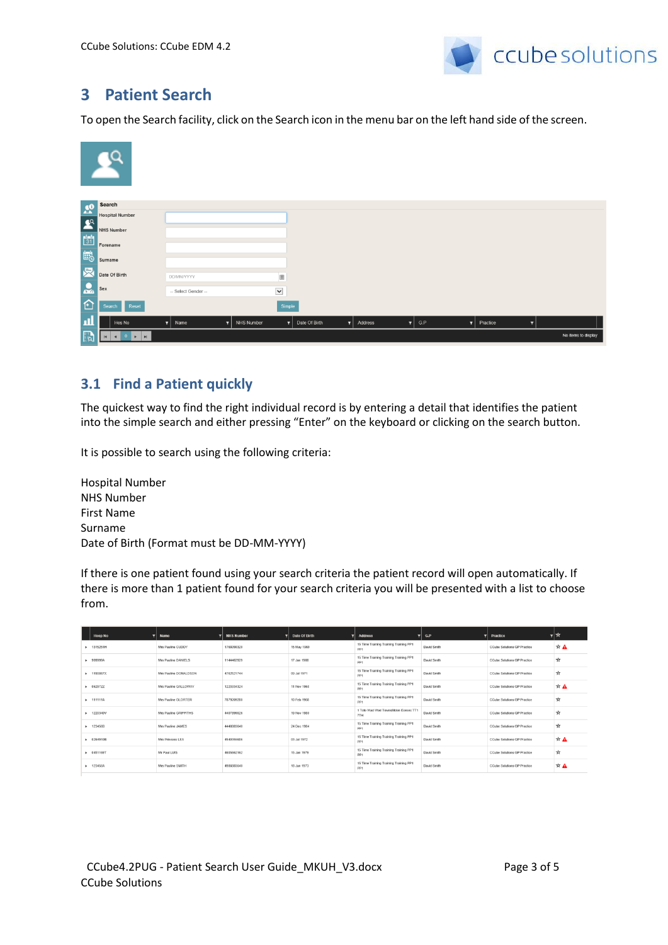

## <span id="page-2-0"></span>**3 Patient Search**

To open the Search facility, click on the Search icon in the menu bar on the left hand side of the screen.

|                 | $\mathbf{R}^{\alpha}$                                              |                  |                  |             |                     |         |              |     |                       |                     |
|-----------------|--------------------------------------------------------------------|------------------|------------------|-------------|---------------------|---------|--------------|-----|-----------------------|---------------------|
| $\frac{60}{20}$ | Search                                                             |                  |                  |             |                     |         |              |     |                       |                     |
|                 | <b>Hospital Number</b>                                             |                  |                  |             |                     |         |              |     |                       |                     |
|                 | <b>NHS Number</b>                                                  |                  |                  |             |                     |         |              |     |                       |                     |
| 8 图 图           | Forename                                                           |                  |                  |             |                     |         |              |     |                       |                     |
|                 | Surname                                                            |                  |                  |             |                     |         |              |     |                       |                     |
| 凤               | Date Of Birth                                                      | DD/MM/YYYY       |                  |             |                     |         |              |     |                       |                     |
| $\mathbf{L}$    | Sex                                                                | - Select Gender- |                  | $\check{~}$ |                     |         |              |     |                       |                     |
| 仓               | Reset<br>Search                                                    |                  |                  | Simple      |                     |         |              |     |                       |                     |
| л               | Hos No                                                             | Name<br>T.       | NHS Number<br>Y. | 7           | Date Of Birth<br>тI | Address | $\mathbf{r}$ | G.P | $\mathbf{r}$ Practice | π.                  |
| <b>PA</b>       | (1,1)<br>$0 \rightarrow$<br>$\blacktriangleleft$<br>$\blacksquare$ |                  |                  |             |                     |         |              |     |                       | No items to display |

### <span id="page-2-1"></span>**3.1 Find a Patient quickly**

The quickest way to find the right individual record is by entering a detail that identifies the patient into the simple search and either pressing "Enter" on the keyboard or clicking on the search button.

It is possible to search using the following criteria:

Hospital Number NHS Number First Name Surname Date of Birth (Format must be DD-MM-YYYY)

If there is one patient found using your search criteria the patient record will open automatically. If there is more than 1 patient found for your search criteria you will be presented with a list to choose from.

| <b>Hosp No</b>      | Name                  | <b>NHS Number</b> | Date Of Birth | <b>Address</b><br>-                                       | G.P<br>-    | Practice<br>▼               | ∗     |
|---------------------|-----------------------|-------------------|---------------|-----------------------------------------------------------|-------------|-----------------------------|-------|
| + 1315251H          | Mrs Pauline CUDDY     | 1768098320        | 15 May 1969   | 15 Time Training Training Training PP1<br>PP <sub>1</sub> | David Smith | CCube Solutions GP Practice | ☆▲    |
| ▶ 999999A           | Mrs Pauline DANIELS   | 1144462929        | 17 Jan 1988   | 15 Time Training Training Training PP1<br>PP <sub>1</sub> | David Smith | CCube Solutions GP Practice | ☆     |
| > 1190867X          | Mrs Pauline DONALDSON | 4762521744        | 09 Jul 1971   | 15 Time Training Training Training PP1<br>PP1             | David Smith | CCube Solutions GP Practice | ☆     |
| $\bullet$ 0629722   | Mrs Pauline GALLOWAY  | 1223334324        | 11 Nov 1968   | 15 Time Training Training Training PP1<br>PP1             | David Smith | CCube Solutions GP Practice | $*$ A |
| <b>&gt; 111111A</b> | Mrs Pauline GLORTER   | 7879209280        | 10 Feb 1968   | 15 Time Training Training Training PP1<br>PP1             | David Smith | CCube Solutions GP Practice | ☆     |
| $+ 1220340V$        | Mrs Pauline GRIFFITHS | 4407899026        | 19 Nov 1980   | 1 Toto Wad Wad Townsfilldon Exexex TT1<br>7TH             | David Smith | CCube Solutions GP Practice | ☆     |
| <b>+ 123456B</b>    | Mrs Pauline JAMES     | 4446883640        | 24 Dec 1984   | 15 Time Training Training Training PP1<br>PP <sub>1</sub> | David Smith | CCube Solutions GP Practice | ☆     |
| ▶ 0264910B          | Mrs Princess LEA      | 4540355686        | 03 Jul 1972   | 15 Time Training Training Training PP1<br>PP1             | David Smith | CCube Solutions GP Practice | ☆▲    |
| <b>B</b> 0451169T   | Mr Paul LUIS          | 4605662162        | 15 Jan 1979   | 15 Time Training Training Training PP1<br>PP <sub>1</sub> | David Smith | CCube Solutions GP Practice | ☆     |
| <b>+ 123456A</b>    | Mrs Pauline SMITH     | 4986883640        | 18 Jun 1973   | 15 Time Training Training Training PP1<br>pp <sub>1</sub> | David Smith | CCube Solutions GP Practice | $*$ A |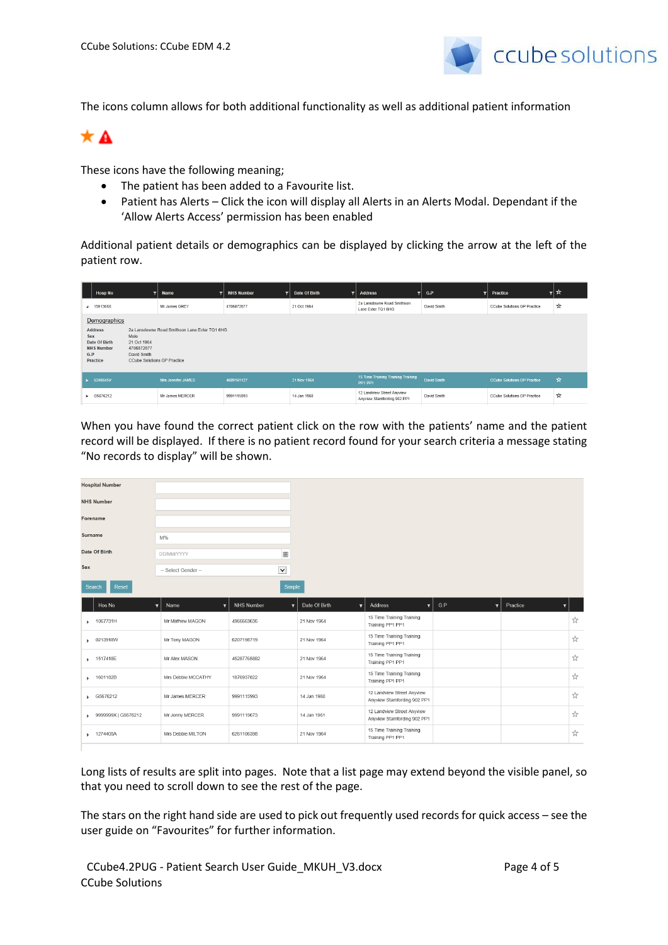

The icons column allows for both additional functionality as well as additional patient information



These icons have the following meaning;

- The patient has been added to a Favourite list.
- Patient has Alerts Click the icon will display all Alerts in an Alerts Modal. Dependant if the 'Allow Alerts Access' permission has been enabled

Additional patient details or demographics can be displayed by clicking the arrow at the left of the patient row.

| <b>Hosp No</b>                                                                 | ⇁                                                                                                                                                       | Name<br>▼                 | <b>NHS Number</b><br>┳ | Date Of Birth<br>▼ | <b>Address</b><br>▼                                       | G.P<br>▼    | <b>Practice</b>                    | ▾╞⋩ |
|--------------------------------------------------------------------------------|---------------------------------------------------------------------------------------------------------------------------------------------------------|---------------------------|------------------------|--------------------|-----------------------------------------------------------|-------------|------------------------------------|-----|
| 4 1591366X                                                                     |                                                                                                                                                         | Mr James GREY             | 4706872677             | 21 Oct 1964        | 2a Lansdowne Road Smithson<br>Lane Exter TQ1 6HG          | David Smith | <b>CCube Solutions GP Practice</b> | ☆   |
| <b>Address</b><br>Sex<br>Date Of Birth<br><b>NHS Number</b><br>G.P<br>Practice | Demographics<br>2a Lansdowne Road Smithson Lane Exter TQ1 6HG<br>Male<br>21 Oct 1964<br>4706872677<br>David Smith<br><b>CCube Solutions GP Practice</b> |                           |                        |                    |                                                           |             |                                    |     |
| 5240645V                                                                       |                                                                                                                                                         | <b>Mrs Jennifer JAMES</b> | 4689161127             | 21 Nov 1964        | 15 Time Training Training Training<br><b>PP1 PP1</b>      | David Smith | <b>CCube Solutions GP Practice</b> | ☆   |
| ▶ G5676212                                                                     |                                                                                                                                                         | Mr James MERCER           | 9991115993             | 14 Jan 1960        | 12 Landview Street Anyview<br>Anyview Stamfording 902 PP1 | David Smith | <b>CCube Solutions GP Practice</b> | ☆   |

When you have found the correct patient click on the row with the patients' name and the patient record will be displayed. If there is no patient record found for your search criteria a message stating "No records to display" will be shown.

| Υ. |
|----|
| ☆  |
| ☆  |
| ☆  |
| ☆  |
| ☆  |
| ☆  |
|    |

Long lists of results are split into pages. Note that a list page may extend beyond the visible panel, so that you need to scroll down to see the rest of the page.

The stars on the right hand side are used to pick out frequently used records for quick access – see the user guide on "Favourites" for further information.